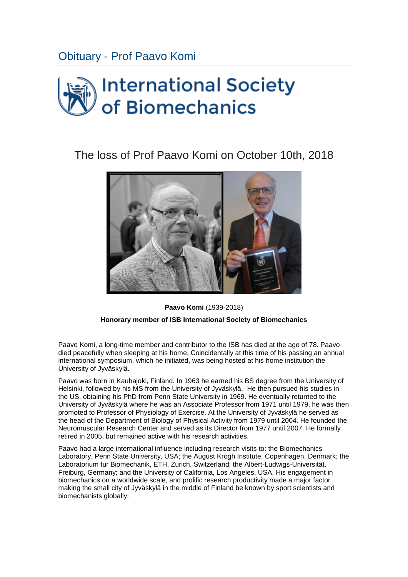## Obituary - [Prof Paavo Komi](https://isbweb.org/news/news/603-only-one-month-to-go-for-isb-2017)

## **International Society** of Biomechanics

## The loss of Prof Paavo Komi on October 10th, 2018



**Paavo Komi** (1939-2018)

## **Honorary member of ISB International Society of Biomechanics**

Paavo Komi, a long-time member and contributor to the ISB has died at the age of 78. Paavo died peacefully when sleeping at his home. Coincidentally at this time of his passing an annual international symposium, which he initiated, was being hosted at his home institution the University of Jyväskylä.

Paavo was born in Kauhajoki, Finland. In 1963 he earned his BS degree from the University of Helsinki, followed by his MS from the University of Jyväskylä. He then pursued his studies in the US, obtaining his PhD from Penn State University in 1969. He eventually returned to the University of Jyväskylä where he was an Associate Professor from 1971 until 1979, he was then promoted to Professor of Physiology of Exercise. At the University of Jyväskylä he served as the head of the Department of Biology of Physical Activity from 1979 until 2004. He founded the Neuromuscular Research Center and served as its Director from 1977 until 2007. He formally retired in 2005, but remained active with his research activities.

Paavo had a large international influence including research visits to: the Biomechanics Laboratory, Penn State University, USA; the August Krogh Institute, Copenhagen, Denmark; the Laboratorium fur Biomechanik, ETH, Zurich, Switzerland; the Albert-Ludwigs-Universität, Freiburg, Germany; and the University of California, Los Angeles, USA. His engagement in biomechanics on a worldwide scale, and prolific research productivity made a major factor making the small city of Jyväskylä in the middle of Finland be known by sport scientists and biomechanists globally.